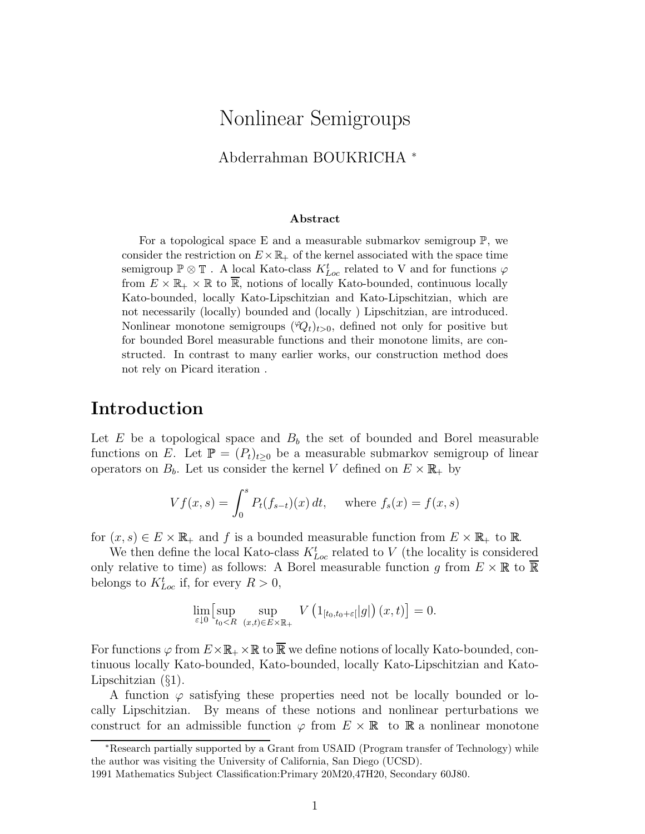## Nonlinear Semigroups

Abderrahman BOUKRICHA <sup>∗</sup>

#### Abstract

For a topological space E and a measurable submarkov semigroup  $\mathbb{P}$ , we consider the restriction on  $E \times \mathbb{R}_+$  of the kernel associated with the space time semigroup  $\mathbb{P}\otimes\mathbb{T}$  . A local Kato-class  $K_{Loc}^t$  related to V and for functions  $\varphi$ from  $E \times \mathbb{R}_+ \times \mathbb{R}$  to  $\overline{\mathbb{R}}$ , notions of locally Kato-bounded, continuous locally Kato-bounded, locally Kato-Lipschitzian and Kato-Lipschitzian, which are not necessarily (locally) bounded and (locally ) Lipschitzian, are introduced. Nonlinear monotone semigroups  $(\mathcal{P}_{t})_{t>0}$ , defined not only for positive but for bounded Borel measurable functions and their monotone limits, are constructed. In contrast to many earlier works, our construction method does not rely on Picard iteration .

### Introduction

Let E be a topological space and  $B_b$  the set of bounded and Borel measurable functions on E. Let  $\mathbb{P} = (P_t)_{t>0}$  be a measurable submarkov semigroup of linear operators on  $B_b$ . Let us consider the kernel V defined on  $E \times \mathbb{R}_+$  by

$$
Vf(x, s) = \int_0^s P_t(f_{s-t})(x) dt, \text{ where } f_s(x) = f(x, s)
$$

for  $(x, s) \in E \times \mathbb{R}_+$  and f is a bounded measurable function from  $E \times \mathbb{R}_+$  to  $\mathbb{R}$ .

We then define the local Kato-class  $K_{Loc}^{t}$  related to V (the locality is considered only relative to time) as follows: A Borel measurable function g from  $E \times \mathbb{R}$  to  $\mathbb{R}$ belongs to  $K_{Loc}^{t}$  if, for every  $R > 0$ ,

$$
\lim_{\varepsilon \downarrow 0} \left[ \sup_{t_0 < R} \sup_{(x,t) \in E \times \mathbb{R}_+} V \left( 1_{[t_0, t_0 + \varepsilon]} |g| \right)(x,t) \right] = 0.
$$

For functions  $\varphi$  from  $E \times \mathbb{R}_+ \times \mathbb{R}$  to  $\overline{\mathbb{R}}$  we define notions of locally Kato-bounded, continuous locally Kato-bounded, Kato-bounded, locally Kato-Lipschitzian and Kato-Lipschitzian (§1).

A function  $\varphi$  satisfying these properties need not be locally bounded or locally Lipschitzian. By means of these notions and nonlinear perturbations we construct for an admissible function  $\varphi$  from  $E \times \mathbb{R}$  to  $\mathbb{R}$  a nonlinear monotone

<sup>∗</sup>Research partially supported by a Grant from USAID (Program transfer of Technology) while the author was visiting the University of California, San Diego (UCSD).

<sup>1991</sup> Mathematics Subject Classification:Primary 20M20,47H20, Secondary 60J80.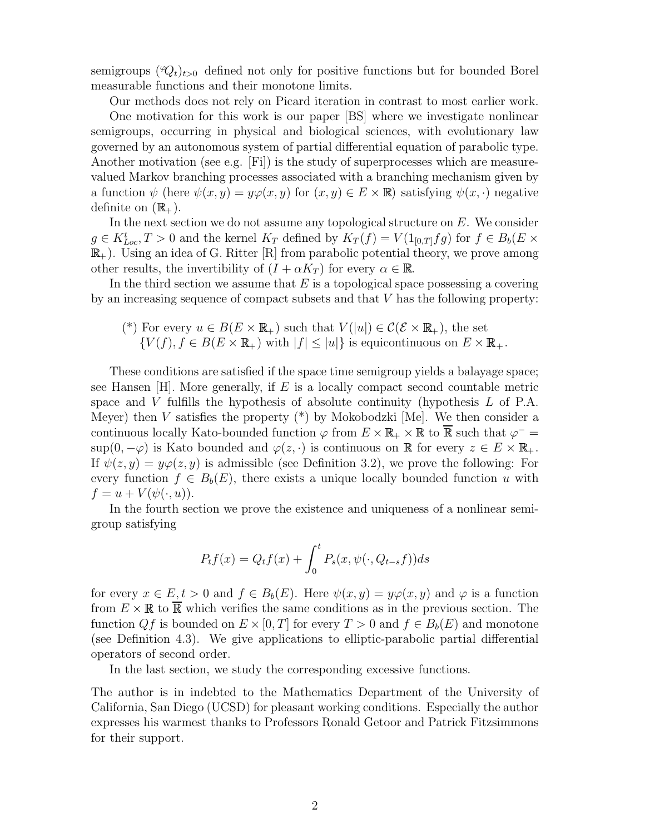semigroups  $(\mathcal{O}_t)_{t>0}$  defined not only for positive functions but for bounded Borel measurable functions and their monotone limits.

Our methods does not rely on Picard iteration in contrast to most earlier work. One motivation for this work is our paper [BS] where we investigate nonlinear semigroups, occurring in physical and biological sciences, with evolutionary law governed by an autonomous system of partial differential equation of parabolic type. Another motivation (see e.g. [Fi]) is the study of superprocesses which are measurevalued Markov branching processes associated with a branching mechanism given by a function  $\psi$  (here  $\psi(x, y) = y\varphi(x, y)$  for  $(x, y) \in E \times \mathbb{R}$ ) satisfying  $\psi(x, \cdot)$  negative definite on  $(\mathbb{R}_{+}).$ 

In the next section we do not assume any topological structure on E. We consider  $g \in K_{Loc}^t, T > 0$  and the kernel  $K_T$  defined by  $K_T(f) = V(1_{[0,T]}fg)$  for  $f \in B_b(E \times$  $\mathbb{R}_+$ ). Using an idea of G. Ritter [R] from parabolic potential theory, we prove among other results, the invertibility of  $(I + \alpha K_T)$  for every  $\alpha \in \mathbb{R}$ .

In the third section we assume that  $E$  is a topological space possessing a covering by an increasing sequence of compact subsets and that V has the following property:

$$
(*)
$$
 For every  $u \in B(E \times \mathbb{R}_+)$  such that  $V(|u|) \in C(\mathcal{E} \times \mathbb{R}_+)$ , the set  $\{V(f), f \in B(E \times \mathbb{R}_+)$  with  $|f| \le |u|\}$  is equicontinuous on  $E \times \mathbb{R}_+$ .

These conditions are satisfied if the space time semigroup yields a balayage space; see Hansen  $[H]$ . More generally, if E is a locally compact second countable metric space and V fulfills the hypothesis of absolute continuity (hypothesis  $L$  of P.A. Meyer) then V satisfies the property  $(*)$  by Mokobodzki [Me]. We then consider a continuous locally Kato-bounded function  $\varphi$  from  $E \times \mathbb{R}_+ \times \mathbb{R}$  to  $\overline{\mathbb{R}}$  such that  $\varphi^ \sup(0, -\varphi)$  is Kato bounded and  $\varphi(z, \cdot)$  is continuous on  $\mathbb R$  for every  $z \in E \times \mathbb R_+$ . If  $\psi(z, y) = y\varphi(z, y)$  is admissible (see Definition 3.2), we prove the following: For every function  $f \in B_b(E)$ , there exists a unique locally bounded function u with  $f = u + V(\psi(\cdot, u)).$ 

In the fourth section we prove the existence and uniqueness of a nonlinear semigroup satisfying

$$
P_t f(x) = Q_t f(x) + \int_0^t P_s(x, \psi(\cdot, Q_{t-s}f)) ds
$$

for every  $x \in E$ ,  $t > 0$  and  $f \in B_b(E)$ . Here  $\psi(x, y) = y\varphi(x, y)$  and  $\varphi$  is a function from  $E \times \mathbb{R}$  to  $\overline{\mathbb{R}}$  which verifies the same conditions as in the previous section. The function Qf is bounded on  $E \times [0, T]$  for every  $T > 0$  and  $f \in B_b(E)$  and monotone (see Definition 4.3). We give applications to elliptic-parabolic partial differential operators of second order.

In the last section, we study the corresponding excessive functions.

The author is in indebted to the Mathematics Department of the University of California, San Diego (UCSD) for pleasant working conditions. Especially the author expresses his warmest thanks to Professors Ronald Getoor and Patrick Fitzsimmons for their support.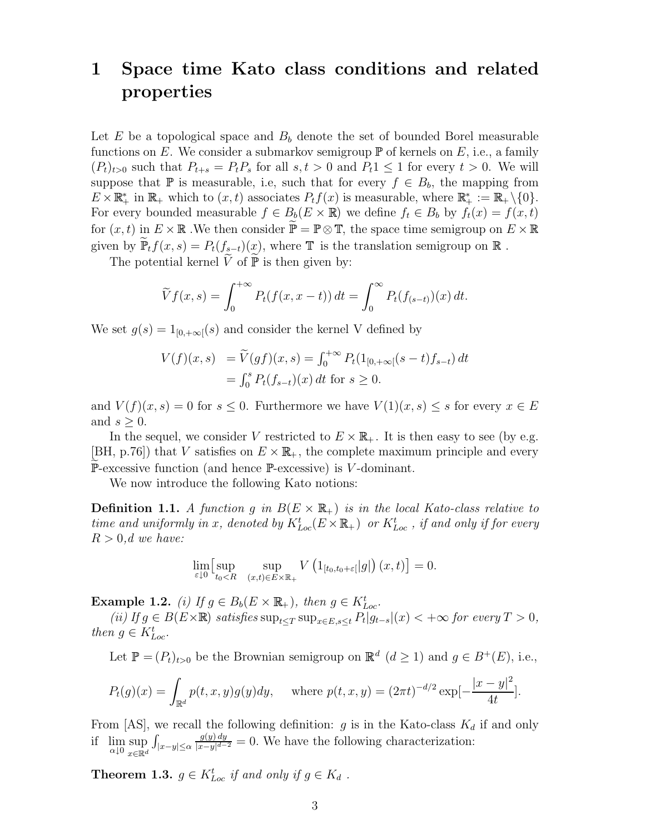# 1 Space time Kato class conditions and related properties

Let E be a topological space and  $B<sub>b</sub>$  denote the set of bounded Borel measurable functions on E. We consider a submarkov semigroup  $\mathbb P$  of kernels on E, i.e., a family  $(P_t)_{t>0}$  such that  $P_{t+s} = P_t P_s$  for all  $s, t > 0$  and  $P_t 1 \leq 1$  for every  $t > 0$ . We will suppose that  $\mathbb P$  is measurable, i.e, such that for every  $f \in B_b$ , the mapping from  $E \times \mathbb{R}_+^*$  in  $\mathbb{R}_+$  which to  $(x, t)$  associates  $P_t f(x)$  is measurable, where  $\mathbb{R}_+^* := \mathbb{R}_+ \setminus \{0\}.$ For every bounded measurable  $f \in B_b(E \times \mathbb{R})$  we define  $f_t \in B_b$  by  $f_t(x) = f(x, t)$ for  $(x, t)$  in  $E \times \mathbb{R}$ . We then consider  $\widetilde{\mathbb{P}} = \mathbb{P} \otimes \mathbb{T}$ , the space time semigroup on  $E \times \mathbb{R}$ given by  $\widetilde{\mathbb{P}}_t f(x, s) = P_t(f_{s-t})(x)$ , where  $\mathbb T$  is the translation semigroup on  $\mathbb R$ .

The potential kernel  $\widetilde{V}$  of  $\widetilde{\mathbb{P}}$  is then given by:

$$
\widetilde{V}f(x,s) = \int_0^{+\infty} P_t(f(x,x-t)) dt = \int_0^{\infty} P_t(f_{(s-t)})(x) dt.
$$

We set  $g(s) = 1_{[0,+\infty)}(s)$  and consider the kernel V defined by

$$
V(f)(x, s) = \widetilde{V}(gf)(x, s) = \int_0^{+\infty} P_t(1_{[0, +\infty[}(s-t)f_{s-t}) dt = \int_0^s P_t(f_{s-t})(x) dt \text{ for } s \ge 0.
$$

and  $V(f)(x, s) = 0$  for  $s \leq 0$ . Furthermore we have  $V(1)(x, s) \leq s$  for every  $x \in E$ and  $s \geq 0$ .

In the sequel, we consider V restricted to  $E \times \mathbb{R}_+$ . It is then easy to see (by e.g. [BH, p.76]) that V satisfies on  $E \times \mathbb{R}_+$ , the complete maximum principle and every  $\mathbb{P}\text{-exressive function}$  (and hence  $\mathbb{P}\text{-exressive}$ ) is V-dominant.

We now introduce the following Kato notions:

**Definition 1.1.** A function g in  $B(E \times \mathbb{R}_+)$  is in the local Kato-class relative to time and uniformly in x, denoted by  $K_{Loc}^t(E\times\mathbb{R}_+)$  or  $K_{Loc}^t$ , if and only if for every  $R > 0, d$  we have:

$$
\lim_{\varepsilon \downarrow 0} \left[ \sup_{t_0 < R} \quad \sup_{(x,t) \in E \times \mathbb{R}_+} V\left(1_{[t_0,t_0 + \varepsilon]}|g|\right)(x,t) \right] = 0.
$$

**Example 1.2.** (i) If  $g \in B_b(E \times \mathbb{R}_+)$ , then  $g \in K_{Loc}^t$ .

(ii) If  $g \in B(E \times \mathbb{R})$  satisfies  $\sup_{t \leq T} \sup_{x \in E, s \leq t} P_t |g_{t-s}|(x) < +\infty$  for every  $T > 0$ , then  $g \in K_{Loc}^t$ .

Let  $\mathbb{P} = (P_t)_{t>0}$  be the Brownian semigroup on  $\mathbb{R}^d$   $(d \geq 1)$  and  $g \in B^+(E)$ , i.e.,

$$
P_t(g)(x) = \int_{\mathbb{R}^d} p(t, x, y) g(y) dy, \quad \text{where } p(t, x, y) = (2\pi t)^{-d/2} \exp[-\frac{|x - y|^2}{4t}].
$$

From [AS], we recall the following definition: g is in the Kato-class  $K_d$  if and only if  $\lim_{\alpha \downarrow 0} \sup_{x \in \mathbb{R}^d}$  $x \in \mathbb{R}^d$   $\overset{\circ}{\sim}$   $\overset{\circ}{\sim}$   $\overset{\circ}{\sim}$  $\int_{|x-y|\leq\alpha}$  $g(y)$  dy  $\frac{g(y) \, dy}{|x-y|^{d-2}} = 0$ . We have the following characterization:

**Theorem 1.3.**  $g \in K_{Loc}^t$  if and only if  $g \in K_d$ .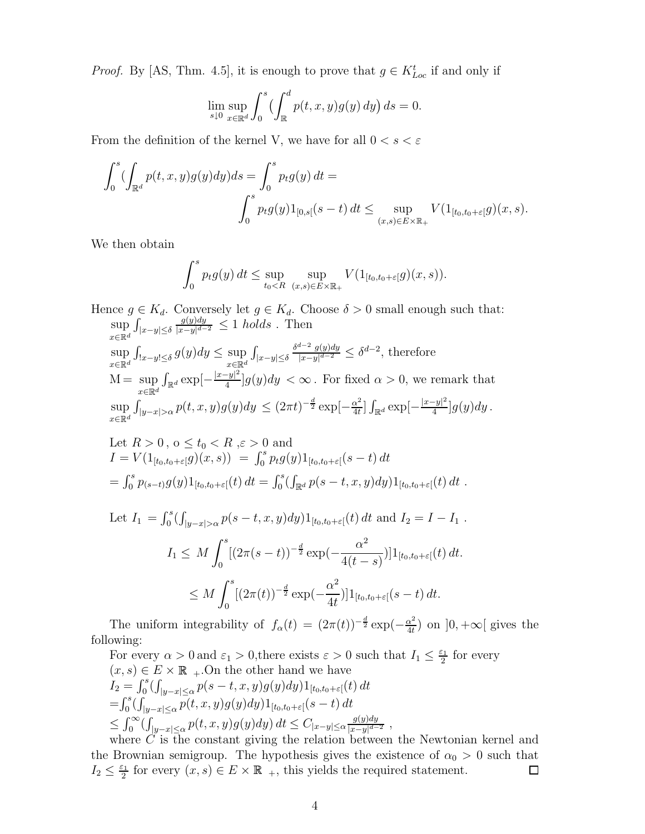*Proof.* By [AS, Thm. 4.5], it is enough to prove that  $g \in K_{Loc}^t$  if and only if

$$
\lim_{s \downarrow 0} \sup_{x \in \mathbb{R}^d} \int_0^s \left( \int_{\mathbb{R}}^d p(t, x, y) g(y) \, dy \right) ds = 0.
$$

From the definition of the kernel V, we have for all  $0 < s < \varepsilon$ 

$$
\int_0^s (\int_{\mathbb{R}^d} p(t, x, y) g(y) dy) ds = \int_0^s p_t g(y) dt =
$$
  

$$
\int_0^s p_t g(y) 1_{[0, s[}(s-t)] dt \le \sup_{(x, s) \in E \times \mathbb{R}_+} V(1_{[t_0, t_0 + \varepsilon]} g)(x, s).
$$

We then obtain

$$
\int_0^s p_t g(y) dt \leq \sup_{t_0 < R} \sup_{(x,s) \in E \times \mathbb{R}_+} V(1_{[t_0,t_0+\varepsilon]}g)(x,s)).
$$

Hence  $g \in K_d$ . Conversely let  $g \in K_d$ . Choose  $\delta > 0$  small enough such that: sup  $x \in \mathbb{R}^d$ <sup>o</sup>  $|x|$ <sup>o</sup>  $y \geq 0$  $\int_{|x-y|\leq \delta}$  $g(y)dy$  $\frac{g(y)dy}{|x-y|^{d-2}} \leq 1$  holds. Then sup  $x \in \mathbb{R}^d$ <sup>o</sup>  $x - y \geq 0$  $\int_{|x-y|\leq \delta} g(y) dy \leq \sup$  $x \in \mathbb{R}^d$   $\overset{\circ}{\mathcal{L}}$   $\overset{\circ}{\mathcal{L}}$   $\overset{\circ}{\mathcal{L}}$  $\int_{|x-y|\leq \delta}$  $\delta^{d-2}$  g(y)dy  $\frac{d^{n-2}g(y)dy}{|x-y|^{d-2}} \leq \delta^{d-2}$ , therefore  $M = \sup$  $x \in \mathbb{R}^d$  defined by  $\mathbb{R}^d$  $\int_{\mathbb{R}^d} \exp\left[-\frac{|x-y|^2}{4}\right]$  $\frac{-y-}{4}g(y)dy < \infty$ . For fixed  $\alpha > 0$ , we remark that sup  $x \in \mathbb{R}^d$   $\left| \begin{array}{cc} g & x \end{array} \right| > c$  $\int_{|y-x|>\alpha} p(t,x,y)g(y)dy \leq (2\pi t)^{-\frac{d}{2}} \exp[-\frac{\alpha^2}{4t}]$  $\frac{\alpha^2}{4t}$ ]  $\int_{\mathbb{R}^d} \exp\left[-\frac{|x-y|^2}{4}\right]$  $\frac{-y|^{2}}{4}]g(y)dy$ .

Let 
$$
R > 0
$$
,  $0 \le t_0 < R$ ,  $\varepsilon > 0$  and  
\n
$$
I = V(1_{[t_0, t_0 + \varepsilon]}g)(x, s)) = \int_0^s p_t g(y) 1_{[t_0, t_0 + \varepsilon]}(s - t) dt
$$
\n
$$
= \int_0^s p_{(s-t)}g(y) 1_{[t_0, t_0 + \varepsilon]}(t) dt = \int_0^s (\int_{\mathbb{R}^d} p(s - t, x, y) dy) 1_{[t_0, t_0 + \varepsilon]}(t) dt.
$$

Let 
$$
I_1 = \int_0^s (\int_{|y-x|>\alpha} p(s-t, x, y) dy) 1_{[t_0, t_0 + \varepsilon]}(t) dt
$$
 and  $I_2 = I - I_1$ .  
\n $I_1 \leq M \int_0^s [(2\pi(s-t))^{-\frac{d}{2}} \exp(-\frac{\alpha^2}{4(t-s)})] 1_{[t_0, t_0 + \varepsilon]}(t) dt$ .  
\n $\leq M \int_0^s [(2\pi(t))^{-\frac{d}{2}} \exp(-\frac{\alpha^2}{4t})] 1_{[t_0, t_0 + \varepsilon]}(s-t) dt$ .

The uniform integrability of  $f_{\alpha}(t) = (2\pi(t))^{-\frac{d}{2}} \exp(-\frac{\alpha^2}{4t})$  $\frac{\alpha^2}{4t}$ ) on  $]0, +\infty[$  gives the following:

For every  $\alpha > 0$  and  $\varepsilon_1 > 0$ , there exists  $\varepsilon > 0$  such that  $I_1 \leq \frac{\varepsilon_1}{2}$  $\frac{\varepsilon_1}{2}$  for every  $(x, s) \in E \times \mathbb{R}$ <sub>+</sub>. On the other hand we have  $I_2 = \int_0^s (\int_{|y-x| \le \alpha} p(s-t, x, y) g(y) dy) 1_{[t_0, t_0 + \varepsilon]}(t) dt$  $=\int_0^s(\int_{|y-x|\leq \alpha} p(t,x,y)g(y)dy)1_{[t_0,t_0+\varepsilon[}(s-t)]dt$  $\leq \int_0^\infty (\int_{|y-x|\leq \alpha} p(t,x,y) g(y) dy) dt \leq C_{|x-y|\leq \alpha} \frac{g(y) dy}{|x-y|^{d-\alpha}}$  $\frac{g(y)dy}{|x-y|^{d-2}}$ ,

where C is the constant giving the relation between the Newtonian kernel and the Brownian semigroup. The hypothesis gives the existence of  $\alpha_0 > 0$  such that  $I_2 \leq \frac{\varepsilon_1}{2}$  $\frac{\varepsilon_1}{2}$  for every  $(x, s) \in E \times \mathbb{R}$ <sub>+</sub>, this yields the required statement.  $\Box$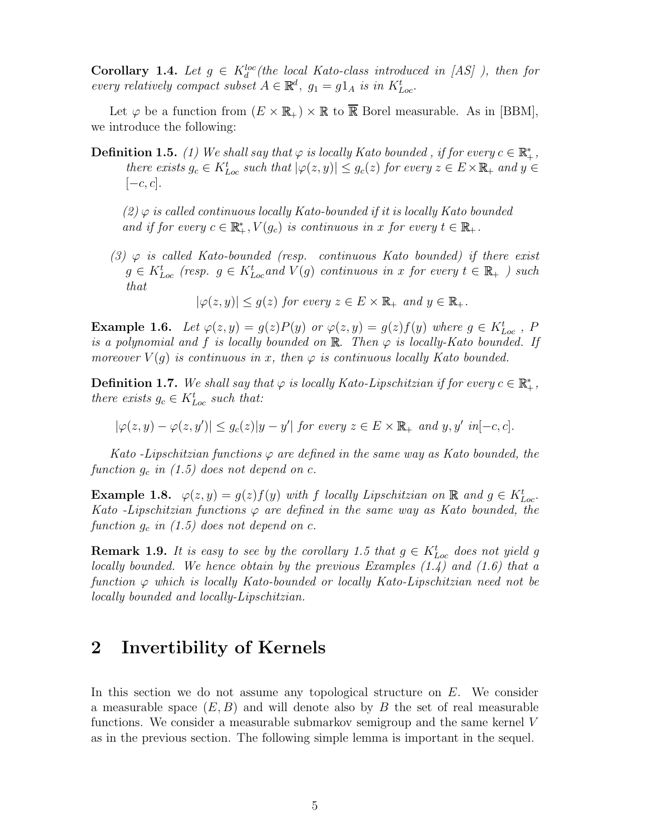**Corollary 1.4.** Let  $g \in K_d^{loc}$  (the local Kato-class introduced in [AS] ), then for every relatively compact subset  $A \in \mathbb{R}^d$ ,  $g_1 = g1_A$  is in  $K_{Loc}^t$ .

Let  $\varphi$  be a function from  $(E \times \mathbb{R}_+) \times \mathbb{R}$  to  $\overline{\mathbb{R}}$  Borel measurable. As in [BBM], we introduce the following:

**Definition 1.5.** (1) We shall say that  $\varphi$  is locally Kato bounded, if for every  $c \in \mathbb{R}_+^*$ , there exists  $g_c \in K_{Loc}^t$  such that  $|\varphi(z, y)| \le g_c(z)$  for every  $z \in E \times \mathbb{R}_+$  and  $y \in E$  $[-c, c].$ 

 $(2)$   $\varphi$  is called continuous locally Kato-bounded if it is locally Kato bounded and if for every  $c \in \mathbb{R}_+^*$ ,  $V(g_c)$  is continuous in x for every  $t \in \mathbb{R}_+$ .

(3)  $\varphi$  is called Kato-bounded (resp. continuous Kato bounded) if there exist  $g \in K_{Loc}^t$  (resp.  $g \in K_{Loc}^t$  and  $V(g)$  continuous in x for every  $t \in \mathbb{R}_+$ ) such that

 $|\varphi(z, y)| \leq g(z)$  for every  $z \in E \times \mathbb{R}_+$  and  $y \in \mathbb{R}_+$ .

**Example 1.6.** Let  $\varphi(z, y) = g(z)P(y)$  or  $\varphi(z, y) = g(z)f(y)$  where  $g \in K_{Loc}^t$ , F is a polynomial and f is locally bounded on  $\mathbb{R}$ . Then  $\varphi$  is locally-Kato bounded. If moreover  $V(q)$  is continuous in x, then  $\varphi$  is continuous locally Kato bounded.

**Definition 1.7.** We shall say that  $\varphi$  is locally Kato-Lipschitzian if for every  $c \in \mathbb{R}_+^*$ , there exists  $g_c \in K_{Loc}^t$  such that:

 $|\varphi(z,y)-\varphi(z,y')|\leq g_c(z)|y-y'|$  for every  $z\in E\times\mathbb{R}_+$  and  $y,y'$  in  $[-c,c]$ .

Kato -Lipschitzian functions  $\varphi$  are defined in the same way as Kato bounded, the function  $g_c$  in (1.5) does not depend on c.

**Example 1.8.**  $\varphi(z, y) = g(z)f(y)$  with f locally Lipschitzian on **R** and  $g \in K_{Loc}^t$ . Kato -Lipschitzian functions  $\varphi$  are defined in the same way as Kato bounded, the function  $g_c$  in (1.5) does not depend on c.

**Remark 1.9.** It is easy to see by the corollary 1.5 that  $g \in K_{Loc}^t$  does not yield g locally bounded. We hence obtain by the previous Examples  $(1.4)$  and  $(1.6)$  that a function  $\varphi$  which is locally Kato-bounded or locally Kato-Lipschitzian need not be locally bounded and locally-Lipschitzian.

#### 2 Invertibility of Kernels

In this section we do not assume any topological structure on E. We consider a measurable space  $(E, B)$  and will denote also by B the set of real measurable functions. We consider a measurable submarkov semigroup and the same kernel V as in the previous section. The following simple lemma is important in the sequel.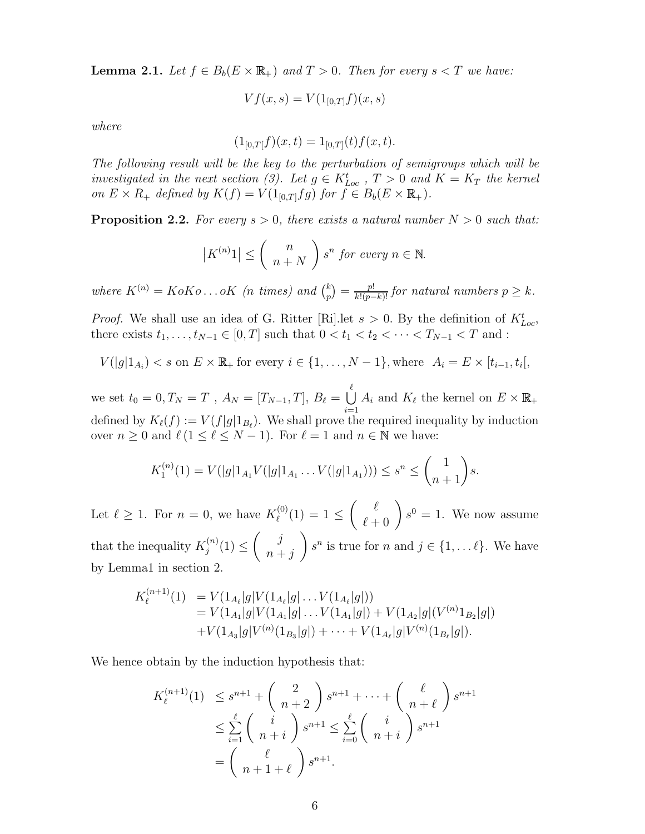**Lemma 2.1.** Let  $f \in B_b(E \times \mathbb{R}_+)$  and  $T > 0$ . Then for every  $s < T$  we have:

$$
Vf(x,s) = V(1_{[0,T]}f)(x,s)
$$

where

$$
(1_{[0,T]}f)(x,t) = 1_{[0,T]}(t)f(x,t).
$$

The following result will be the key to the perturbation of semigroups which will be investigated in the next section (3). Let  $g \in K_{Loc}^t$ ,  $T > 0$  and  $K = K_T$  the kernel on  $E \times R_+$  defined by  $K(f) = V(1_{[0,T]}fg)$  for  $f \in B_b(E \times \mathbb{R}_+).$ 

**Proposition 2.2.** For every  $s > 0$ , there exists a natural number  $N > 0$  such that:

$$
|K^{(n)}1| \leq {n \choose n+N} s^n \text{ for every } n \in \mathbb{N}.
$$

where  $K^{(n)} = K \circ K \circ \ldots \circ K$  (*n* times) and  $\binom{k}{n}$  $\binom{k}{p} = \frac{p!}{k!(p-k)!}$  for natural numbers  $p \geq k$ .

*Proof.* We shall use an idea of G. Ritter [Ri]. Let  $s > 0$ . By the definition of  $K_{Loc}^t$ , there exists  $t_1, \ldots, t_{N-1} \in [0, T]$  such that  $0 < t_1 < t_2 < \cdots < T_{N-1} < T$  and :

$$
V(|g|1_{A_i}) < s
$$
 on  $E \times \mathbb{R}_+$  for every  $i \in \{1, ..., N-1\}$ , where  $A_i = E \times [t_{i-1}, t_i]$ ,

we set  $t_0 = 0, T_N = T$  ,  $A_N = [T_{N-1}, T], B_\ell = \bigcup_{k=1}^{\ell}$  $i=1$  $A_i$  and  $K_\ell$  the kernel on  $E \times \mathbb{R}_+$ defined by  $K_{\ell}(f) := V(f|g|1_{B_{\ell}})$ . We shall prove the required inequality by induction over  $n \geq 0$  and  $\ell$  ( $1 \leq \ell \leq N - 1$ ). For  $\ell = 1$  and  $n \in \mathbb{N}$  we have:

$$
K_1^{(n)}(1) = V(|g|1_{A_1}V(|g|1_{A_1}\dots V(|g|1_{A_1}))) \le s^n \le \binom{1}{n+1}s.
$$

Let  $\ell \geq 1$ . For  $n = 0$ , we have  $K_{\ell}^{(0)}$  $\binom{10}{\ell}(1) = 1 \leq$  $\begin{pmatrix} \ell \\ \ell+0 \end{pmatrix} s^0 = 1$ . We now assume that the inequality  $K_i^{(n)}$  $j^{(n)}(1) \leq$  $\int$  j  $n + j$  $\overline{ }$  $s^n$  is true for n and  $j \in \{1, \ldots \ell\}$ . We have by Lemma1 in section 2.

$$
K_{\ell}^{(n+1)}(1) = V(1_{A_{\ell}}|g|V(1_{A_{\ell}}|g|...V(1_{A_{\ell}}|g|))
$$
  
=  $V(1_{A_{1}}|g|V(1_{A_{1}}|g|...V(1_{A_{1}}|g|) + V(1_{A_{2}}|g|(V^{(n)}1_{B_{2}}|g|))$   
+ $V(1_{A_{3}}|g|V^{(n)}(1_{B_{3}}|g|) + \cdots + V(1_{A_{\ell}}|g|V^{(n)}(1_{B_{\ell}}|g|)).$ 

We hence obtain by the induction hypothesis that:

$$
K_{\ell}^{(n+1)}(1) \leq s^{n+1} + \binom{2}{n+2} s^{n+1} + \dots + \binom{\ell}{n+\ell} s^{n+1}
$$
  

$$
\leq \sum_{i=1}^{\ell} \binom{i}{n+i} s^{n+1} \leq \sum_{i=0}^{\ell} \binom{i}{n+i} s^{n+1}
$$
  

$$
= \binom{\ell}{n+1+\ell} s^{n+1}.
$$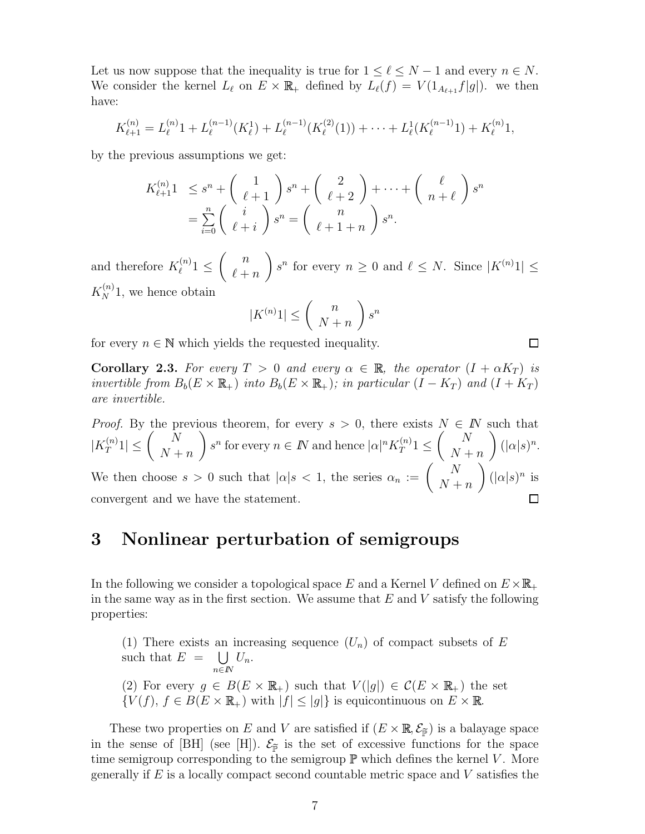Let us now suppose that the inequality is true for  $1 \leq \ell \leq N - 1$  and every  $n \in N$ . We consider the kernel  $L_\ell$  on  $E \times \mathbb{R}_+$  defined by  $L_\ell(f) = V (1_{A_{\ell+1}}f|g|)$ . we then have:

$$
K_{\ell+1}^{(n)} = L_{\ell}^{(n)}1 + L_{\ell}^{(n-1)}(K_{\ell}^1) + L_{\ell}^{(n-1)}(K_{\ell}^{(2)}(1)) + \cdots + L_{\ell}^1(K_{\ell}^{(n-1)}1) + K_{\ell}^{(n)}1,
$$

by the previous assumptions we get:

$$
K_{\ell+1}^{(n)}1 \leq s^n + \left(\begin{array}{c} 1 \\ \ell+1 \end{array}\right)s^n + \left(\begin{array}{c} 2 \\ \ell+2 \end{array}\right) + \dots + \left(\begin{array}{c} \ell \\ n+\ell \end{array}\right)s^n
$$
  
= 
$$
\sum_{i=0}^n \left(\begin{array}{c} i \\ \ell+i \end{array}\right)s^n = \left(\begin{array}{c} n \\ \ell+1+n \end{array}\right)s^n.
$$

and therefore  $K_{\ell}^{(n)}$  $\ell^{(n)}1 \leq$  $\begin{pmatrix} n \\ n \end{pmatrix}$  $\ell + n$  $\overline{ }$  $s^n$  for every  $n \geq 0$  and  $\ell \leq N$ . Since  $|K^{(n)}1| \leq$ 

 $K_N^{(n)}$ 1, we hence obtain

$$
|K^{(n)}1| \le \left(\begin{array}{c} n \\ N+n \end{array}\right)s^n
$$

 $\Box$ 

for every  $n \in \mathbb{N}$  which yields the requested inequality.

**Corollary 2.3.** For every  $T > 0$  and every  $\alpha \in \mathbb{R}$ , the operator  $(I + \alpha K_T)$  is invertible from  $B_b(E \times \mathbb{R}_+)$  into  $B_b(E \times \mathbb{R}_+)$ ; in particular  $(I - K_T)$  and  $(I + K_T)$ are invertible.

*Proof.* By the previous theorem, for every  $s > 0$ , there exists  $N \in \mathbb{N}$  such that  $|K_T^{(n)}|$  $\left|\frac{f(n)}{T}1\right| \leq \left(\begin{array}{c} N \ N+1 \end{array}\right)$  $N + n$  $\overline{\phantom{0}}$  $s^n$  for every  $n \in \mathbb{N}$  and hence  $|\alpha|^n K_T^{(n)}$  $T^{(n)}_T 1 \leq$  $\begin{pmatrix} N \end{pmatrix}$  $N + n$  $\setminus$  $(|\alpha|s)^n$ . We then choose  $s > 0$  such that  $|\alpha| s < 1$ , the series  $\alpha_n := \begin{pmatrix} N & N \\ N & N \end{pmatrix}$  $N + n$  $\overline{ }$  $(|\alpha|s)^n$  is convergent and we have the statement.

## 3 Nonlinear perturbation of semigroups

In the following we consider a topological space E and a Kernel V defined on  $E \times \mathbb{R}_+$ in the same way as in the first section. We assume that  $E$  and  $V$  satisfy the following properties:

(1) There exists an increasing sequence  $(U_n)$  of compact subsets of E such that  $E = \bigcup$ n∈IN  $U_n$ . (2) For every  $g \in B(E \times \mathbb{R}_+)$  such that  $V(|g|) \in C(E \times \mathbb{R}_+)$  the set  ${V(f), f \in B(E \times \mathbb{R}_+)}$  with  $|f| \leq |g|$  is equicontinuous on  $E \times \mathbb{R}$ .

These two properties on E and V are satisfied if  $(E \times \mathbb{R}, \mathcal{E}_{\tilde{P}})$  is a balayage space in the sense of [BH] (see [H]).  $\mathcal{E}_{\tilde{p}}$  is the set of excessive functions for the space time semigroup corresponding to the semigroup  $\mathbb P$  which defines the kernel V. More generally if  $E$  is a locally compact second countable metric space and  $V$  satisfies the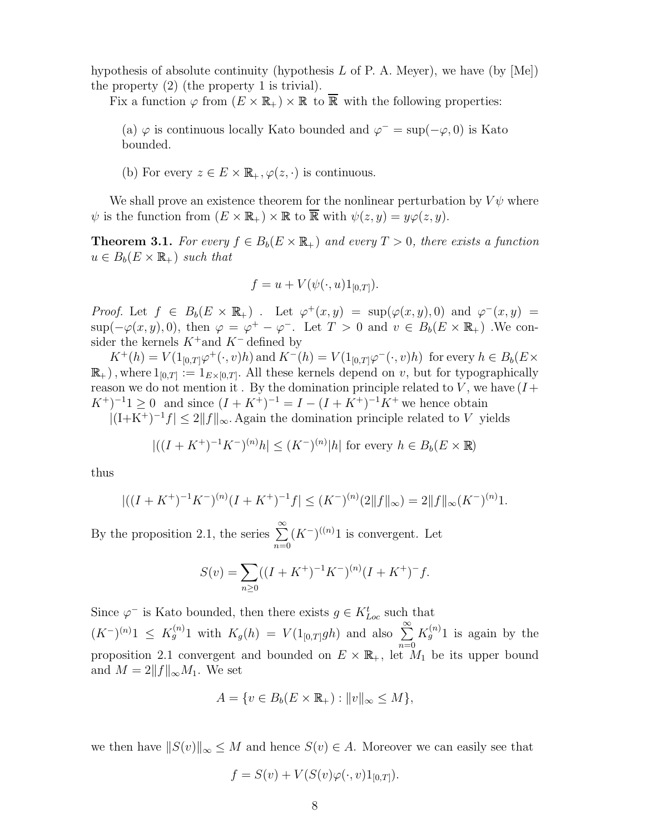hypothesis of absolute continuity (hypothesis L of P. A. Meyer), we have (by  $|\text{Me}|$ ) the property (2) (the property 1 is trivial).

Fix a function  $\varphi$  from  $(E \times \mathbb{R}_+) \times \mathbb{R}$  to  $\overline{\mathbb{R}}$  with the following properties:

(a)  $\varphi$  is continuous locally Kato bounded and  $\varphi^- = \sup(-\varphi, 0)$  is Kato bounded.

(b) For every  $z \in E \times \mathbb{R}_+, \varphi(z, \cdot)$  is continuous.

We shall prove an existence theorem for the nonlinear perturbation by  $V\psi$  where  $\psi$  is the function from  $(E \times \mathbb{R}_+) \times \mathbb{R}$  to  $\overline{\mathbb{R}}$  with  $\psi(z, y) = y\varphi(z, y)$ .

**Theorem 3.1.** For every  $f \in B_b(E \times \mathbb{R}_+)$  and every  $T > 0$ , there exists a function  $u \in B_b(E \times \mathbb{R}_+)$  such that

$$
f = u + V(\psi(\cdot, u)1_{[0,T]}).
$$

*Proof.* Let  $f \in B_b(E \times \mathbb{R}_+)$ . Let  $\varphi^+(x, y) = \sup(\varphi(x, y), 0)$  and  $\varphi^-(x, y) =$  $\sup(-\varphi(x,y),0)$ , then  $\varphi = \varphi^+ - \varphi^-$ . Let  $T > 0$  and  $v \in B_b(E \times \mathbb{R}_+)$ . We consider the kernels  $K^+$  and  $K^-$  defined by

 $K^+(h) = V(1_{[0,T]} \varphi^+(\cdot, v)h)$  and  $K^-(h) = V(1_{[0,T]} \varphi^-(\cdot, v)h)$  for every  $h \in B_b(E \times$  $\mathbb{R}_+$ ), where  $1_{[0,T]} := 1_{E\times[0,T]}$ . All these kernels depend on v, but for typographically reason we do not mention it. By the domination principle related to V, we have  $(I +$  $(K^+)^{-1}1 \geq 0$  and since  $(I + K^+)^{-1} = I - (I + K^+)^{-1}K^+$  we hence obtain

 $|(I+K^+)^{-1}f| \le 2||f||_{\infty}$ . Again the domination principle related to V yields

$$
|((I + K^{+})^{-1}K^{-})^{(n)}h| \leq (K^{-})^{(n)}|h| \text{ for every } h \in B_{b}(E \times \mathbb{R})
$$

thus

$$
|((I + K^{+})^{-1}K^{-})^{(n)}(I + K^{+})^{-1}f| \leq (K^{-})^{(n)}(2||f||_{\infty}) = 2||f||_{\infty}(K^{-})^{(n)}1.
$$

By the proposition 2.1, the series  $\sum_{n=1}^{\infty}$  $n=0$  $(K^-)^{((n)}1$  is convergent. Let

$$
S(v) = \sum_{n\geq 0} ((I + K^{+})^{-1} K^{-})^{(n)} (I + K^{+})^{-} f.
$$

Since  $\varphi^-$  is Kato bounded, then there exists  $g \in K_{Loc}^t$  such that  $(K^{-})^{(n)}1 \leq K_g^{(n)}1$  with  $K_g(h) = V(1_{[0,T]}gh)$  and also  $\sum_{n=1}^{\infty}$  $n=0$  $K_g^{(n)}1$  is again by the proposition 2.1 convergent and bounded on  $E \times \mathbb{R}_+$ , let  $M_1$  be its upper bound and  $M = 2||f||_{\infty}M_1$ . We set

$$
A = \{ v \in B_b(E \times \mathbb{R}_+) : ||v||_{\infty} \le M \},\
$$

we then have  $||S(v)||_{\infty} \leq M$  and hence  $S(v) \in A$ . Moreover we can easily see that

$$
f = S(v) + V(S(v)\varphi(\cdot, v)1_{[0,T]}).
$$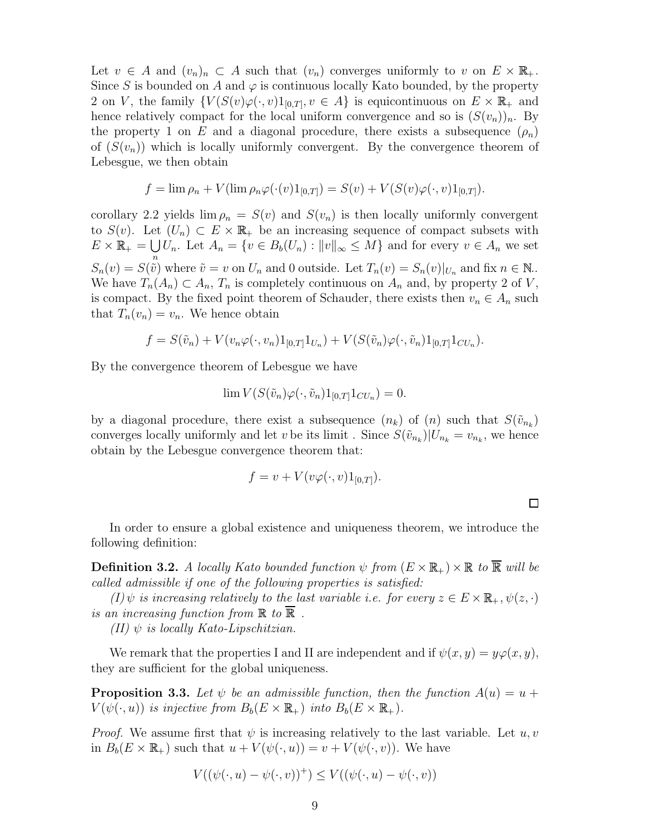Let  $v \in A$  and  $(v_n)_n \subset A$  such that  $(v_n)$  converges uniformly to v on  $E \times \mathbb{R}_+$ . Since S is bounded on A and  $\varphi$  is continuous locally Kato bounded, by the property 2 on V, the family  $\{V(S(v)\varphi(\cdot,v)1_{[0,T]}, v \in A\})$  is equicontinuous on  $E \times \mathbb{R}_+$  and hence relatively compact for the local uniform convergence and so is  $(S(v_n))_n$ . By the property 1 on E and a diagonal procedure, there exists a subsequence  $(\rho_n)$ of  $(S(v_n))$  which is locally uniformly convergent. By the convergence theorem of Lebesgue, we then obtain

$$
f = \lim \rho_n + V(\lim \rho_n \varphi(\cdot(v)1_{[0,T]}) = S(v) + V(S(v)\varphi(\cdot,v)1_{[0,T]}).
$$

corollary 2.2 yields  $\lim \rho_n = S(v)$  and  $S(v_n)$  is then locally uniformly convergent to  $S(v)$ . Let  $(U_n) \subset E \times \mathbb{R}_+$  be an increasing sequence of compact subsets with  $E \times \mathbb{R}_+ = \bigcup U_n$ . Let  $A_n = \{v \in B_b(U_n) : ||v||_{\infty} \leq M\}$  and for every  $v \in A_n$  we set  $S_n(v) = S(\tilde{\tilde{v}})$  where  $\tilde{v} = v$  on  $U_n$  and 0 outside. Let  $T_n(v) = S_n(v)|_{U_n}$  and fix  $n \in \mathbb{N}$ . We have  $T_n(A_n) \subset A_n$ ,  $T_n$  is completely continuous on  $A_n$  and, by property 2 of V, is compact. By the fixed point theorem of Schauder, there exists then  $v_n \in A_n$  such that  $T_n(v_n) = v_n$ . We hence obtain

$$
f = S(\tilde{v}_n) + V(v_n \varphi(\cdot, v_n) 1_{[0,T]} 1_{U_n}) + V(S(\tilde{v}_n) \varphi(\cdot, \tilde{v}_n) 1_{[0,T]} 1_{CU_n}).
$$

By the convergence theorem of Lebesgue we have

$$
\lim V(S(\tilde{v}_n)\varphi(\cdot,\tilde{v}_n)1_{[0,T]}1_{CU_n})=0.
$$

by a diagonal procedure, there exist a subsequence  $(n_k)$  of  $(n)$  such that  $S(\tilde{v}_{n_k})$ converges locally uniformly and let v be its limit. Since  $S(\tilde{v}_{n_k})|U_{n_k} = v_{n_k}$ , we hence obtain by the Lebesgue convergence theorem that:

$$
f = v + V(v\varphi(\cdot, v)1_{[0,T]}).
$$

In order to ensure a global existence and uniqueness theorem, we introduce the following definition:

**Definition 3.2.** A locally Kato bounded function  $\psi$  from  $(E \times \mathbb{R}_+) \times \mathbb{R}$  to  $\overline{\mathbb{R}}$  will be called admissible if one of the following properties is satisfied:

 $(I)\psi$  is increasing relatively to the last variable i.e. for every  $z \in E \times \mathbb{R}_+, \psi(z, \cdot)$ is an increasing function from  $\mathbb R$  to  $\overline{\mathbb R}$ .

(II)  $\psi$  is locally Kato-Lipschitzian.

We remark that the properties I and II are independent and if  $\psi(x, y) = y\varphi(x, y)$ , they are sufficient for the global uniqueness.

**Proposition 3.3.** Let  $\psi$  be an admissible function, then the function  $A(u) = u +$  $V(\psi(\cdot, u))$  is injective from  $B_b(E \times \mathbb{R}_+)$  into  $B_b(E \times \mathbb{R}_+).$ 

*Proof.* We assume first that  $\psi$  is increasing relatively to the last variable. Let  $u, v$ in  $B_b(E \times \mathbb{R}_+)$  such that  $u + V(\psi(\cdot, u)) = v + V(\psi(\cdot, v))$ . We have

$$
V((\psi(\cdot, u) - \psi(\cdot, v))^+) \le V((\psi(\cdot, u) - \psi(\cdot, v)))
$$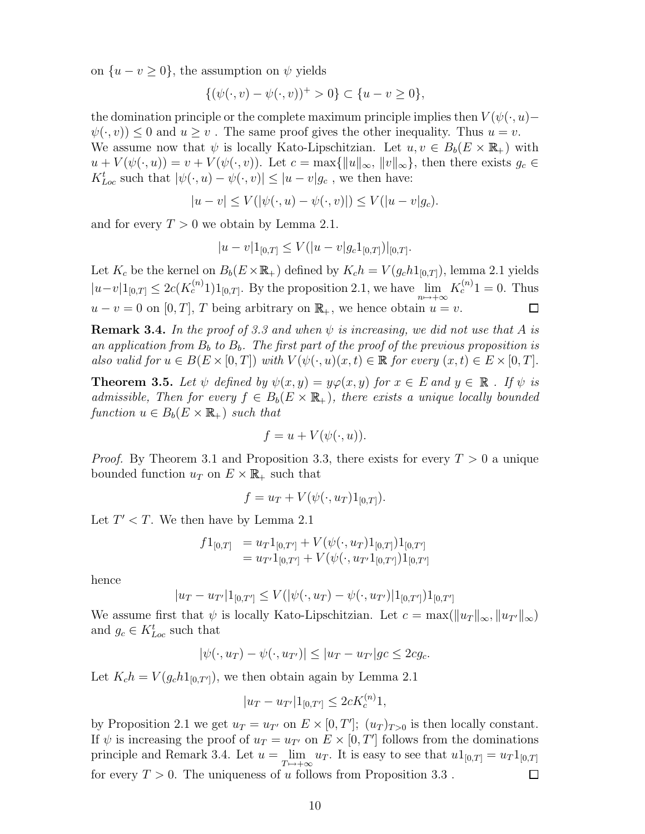on  $\{u - v \geq 0\}$ , the assumption on  $\psi$  yields

$$
\{(\psi(\cdot,v) - \psi(\cdot,v))^+ > 0\} \subset \{u - v \ge 0\},\
$$

the domination principle or the complete maximum principle implies then  $V(\psi(\cdot, u)$ −  $\psi(\cdot, v) \leq 0$  and  $u \geq v$ . The same proof gives the other inequality. Thus  $u = v$ . We assume now that  $\psi$  is locally Kato-Lipschitzian. Let  $u, v \in B_b(E \times \mathbb{R}_+)$  with  $u + V(\psi(\cdot, u)) = v + V(\psi(\cdot, v)).$  Let  $c = \max\{||u||_{\infty}, ||v||_{\infty}\}\)$ , then there exists  $g_c \in$  $K_{Loc}^t$  such that  $|\psi(\cdot, u) - \psi(\cdot, v)| \leq |u - v| g_c$ , we then have:

$$
|u - v| \le V(|\psi(\cdot, u) - \psi(\cdot, v)|) \le V(|u - v|g_c).
$$

and for every  $T > 0$  we obtain by Lemma 2.1.

$$
|u - v| 1_{[0,T]} \le V(|u - v| g_c 1_{[0,T]})|_{[0,T]}.
$$

Let  $K_c$  be the kernel on  $B_b(E\times\mathbb{R}_+)$  defined by  $K_c h = V(g_c h 1_{[0,T]})$ , lemma 2.1 yields  $|u-v|1_{[0,T]} \leq 2c(K_c^{(n)}1)1_{[0,T]}$ . By the proposition 2.1, we have  $\lim_{n \to +\infty} K_c^{(n)}1 = 0$ . Thus  $u - v = 0$  on [0, T], T being arbitrary on  $\mathbb{R}_+$ , we hence obtain  $u = v$ .  $\Box$ 

**Remark 3.4.** In the proof of 3.3 and when  $\psi$  is increasing, we did not use that A is an application from  $B_b$  to  $B_b$ . The first part of the proof of the previous proposition is also valid for  $u \in B(E \times [0,T])$  with  $V(\psi(\cdot, u)(x, t) \in \mathbb{R}$  for every  $(x, t) \in E \times [0,T]$ .

**Theorem 3.5.** Let  $\psi$  defined by  $\psi(x, y) = y\varphi(x, y)$  for  $x \in E$  and  $y \in \mathbb{R}$ . If  $\psi$  is admissible, Then for every  $f \in B_b(E \times \mathbb{R}_+)$ , there exists a unique locally bounded function  $u \in B_b(E \times \mathbb{R}_+)$  such that

$$
f = u + V(\psi(\cdot, u)).
$$

*Proof.* By Theorem 3.1 and Proposition 3.3, there exists for every  $T > 0$  a unique bounded function  $u_T$  on  $E \times \mathbb{R}_+$  such that

$$
f = u_T + V(\psi(\cdot, u_T)1_{[0,T]}).
$$

Let  $T' < T$ . We then have by Lemma 2.1

$$
f1_{[0,T]} = u_T 1_{[0,T']} + V(\psi(\cdot, u_T) 1_{[0,T]}) 1_{[0,T']} = u_{T'} 1_{[0,T']} + V(\psi(\cdot, u_{T'} 1_{[0,T']}) 1_{[0,T']}
$$

hence

$$
|u_T - u_{T'}| 1_{[0,T']} \le V(|\psi(\cdot, u_T) - \psi(\cdot, u_{T'})| 1_{[0,T']}) 1_{[0,T']}
$$

We assume first that  $\psi$  is locally Kato-Lipschitzian. Let  $c = \max(||u_T||_{\infty}, ||u_{T'}||_{\infty})$ and  $g_c \in K_{Loc}^t$  such that

$$
|\psi(\cdot, u_T) - \psi(\cdot, u_{T'})| \le |u_T - u_{T'}| g_c \le 2c g_c.
$$

Let  $K_c h = V(g_c h 1_{[0,T']})$ , we then obtain again by Lemma 2.1

$$
|u_T - u_{T'}| 1_{[0,T']} \leq 2cK_c^{(n)}1,
$$

by Proposition 2.1 we get  $u_T = u_{T'}$  on  $E \times [0, T']$ ;  $(u_T)_{T>0}$  is then locally constant. If  $\psi$  is increasing the proof of  $u_T = u_{T'}$  on  $E \times [0, T']$  follows from the dominations principle and Remark 3.4. Let  $u = \lim_{T \to +\infty} u_T$ . It is easy to see that  $u1_{[0,T]} = u_T 1_{[0,T]}$ for every  $T > 0$ . The uniqueness of u follows from Proposition 3.3.  $\Box$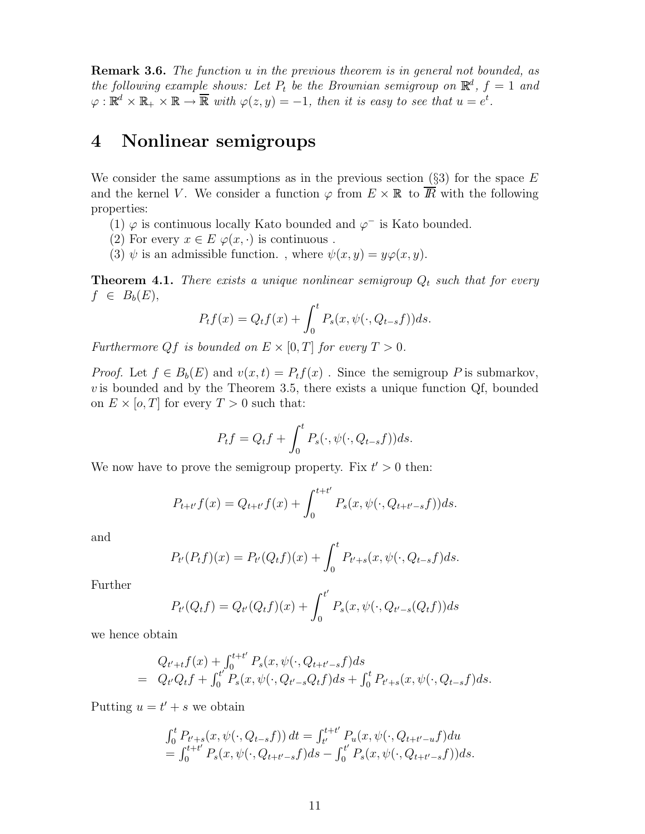Remark 3.6. The function u in the previous theorem is in general not bounded, as the following example shows: Let  $P_t$  be the Brownian semigroup on  $\mathbb{R}^d$ ,  $f = 1$  and  $\varphi: \mathbb{R}^d \times \mathbb{R}_+ \times \mathbb{R} \to \overline{\mathbb{R}}$  with  $\varphi(z, y) = -1$ , then it is easy to see that  $u = e^t$ .

### 4 Nonlinear semigroups

We consider the same assumptions as in the previous section  $(\S3)$  for the space E and the kernel V. We consider a function  $\varphi$  from  $E \times \mathbb{R}$  to  $\overline{R}$  with the following properties:

- (1)  $\varphi$  is continuous locally Kato bounded and  $\varphi^-$  is Kato bounded.
- (2) For every  $x \in E \varphi(x, \cdot)$  is continuous.
- (3)  $\psi$  is an admissible function., where  $\psi(x, y) = y\varphi(x, y)$ .

**Theorem 4.1.** There exists a unique nonlinear semigroup  $Q_t$  such that for every  $f \in B_b(E)$ ,

$$
P_t f(x) = Q_t f(x) + \int_0^t P_s(x, \psi(\cdot, Q_{t-s}f)) ds.
$$

Furthermore Qf is bounded on  $E \times [0,T]$  for every  $T > 0$ .

*Proof.* Let  $f \in B_b(E)$  and  $v(x,t) = P_tf(x)$ . Since the semigroup P is submarkov,  $v$  is bounded and by the Theorem 3.5, there exists a unique function Qf, bounded on  $E \times [o, T]$  for every  $T > 0$  such that:

$$
P_t f = Q_t f + \int_0^t P_s(\cdot, \psi(\cdot, Q_{t-s}f)) ds.
$$

We now have to prove the semigroup property. Fix  $t' > 0$  then:

$$
P_{t+t'}f(x) = Q_{t+t'}f(x) + \int_0^{t+t'} P_s(x, \psi(\cdot, Q_{t+t'-s}f))ds.
$$

and

$$
P_{t'}(P_t f)(x) = P_{t'}(Q_t f)(x) + \int_0^t P_{t'+s}(x, \psi(\cdot, Q_{t-s} f) ds).
$$

Further

$$
P_{t'}(Q_t f) = Q_{t'}(Q_t f)(x) + \int_0^{t'} P_s(x, \psi(\cdot, Q_{t'-s}(Q_t f)) ds
$$

we hence obtain

$$
Q_{t'+t}f(x) + \int_0^{t+t'} P_s(x, \psi(\cdot, Q_{t+t'-s}f) ds
$$
  
=  $Q_{t'}Q_{t}f + \int_0^{t'} P_s(x, \psi(\cdot, Q_{t'-s}Q_{t}f) ds + \int_0^{t} P_{t'+s}(x, \psi(\cdot, Q_{t-s}f) ds).$ 

Putting  $u = t' + s$  we obtain

$$
\int_0^t P_{t'+s}(x, \psi(\cdot, Q_{t-s}f)) dt = \int_{t'}^{t+t'} P_u(x, \psi(\cdot, Q_{t+t'-u}f)) du \n= \int_0^{t+t'} P_s(x, \psi(\cdot, Q_{t+t'-s}f)) ds - \int_0^{t'} P_s(x, \psi(\cdot, Q_{t+t'-s}f)) ds.
$$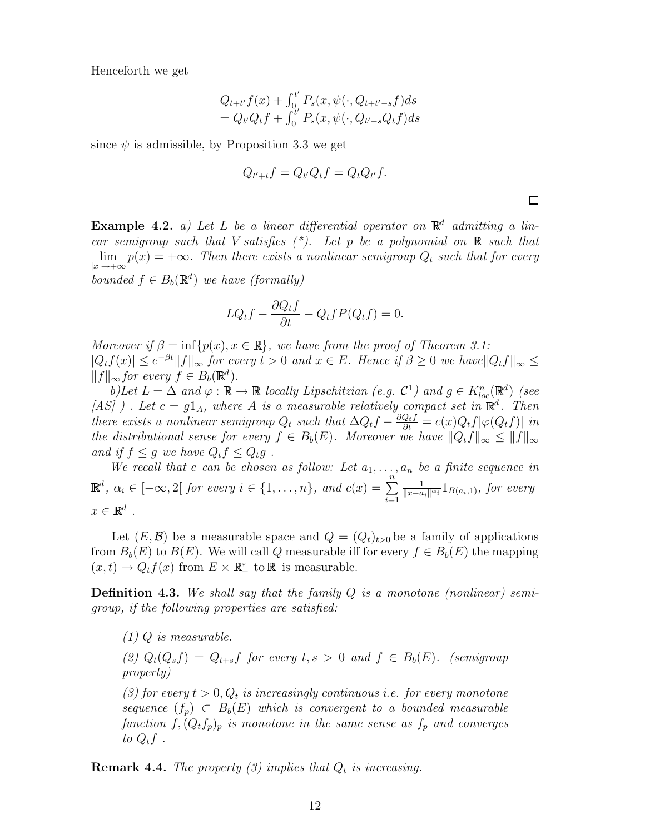Henceforth we get

$$
Q_{t+t'}f(x) + \int_0^{t'} P_s(x, \psi(\cdot, Q_{t+t'-s}f)ds = Q_{t'}Q_{t}f + \int_0^{t'} P_s(x, \psi(\cdot, Q_{t'-s}Q_{t}f)ds
$$

since  $\psi$  is admissible, by Proposition 3.3 we get

$$
Q_{t'+t}f = Q_{t'}Q_{t}f = Q_{t}Q_{t'}f.
$$

Example 4.2. a) Let L be a linear differential operator on  $\mathbb{R}^d$  admitting a linear semigroup such that V satisfies  $(*)$ . Let p be a polynomial on  $\mathbb R$  such that  $\lim p(x) = +\infty$ . Then there exists a nonlinear semigroup  $Q_t$  such that for every  $|x| \rightarrow +\infty$ bounded  $f \in B_b(\mathbb{R}^d)$  we have (formally)

$$
LQ_t f - \frac{\partial Q_t f}{\partial t} - Q_t f P(Q_t f) = 0.
$$

Moreover if  $\beta = \inf \{p(x), x \in \mathbb{R}\},\$  we have from the proof of Theorem 3.1:  $|Q_t f(x)| \leq e^{-\beta t} ||f||_{\infty}$  for every  $t > 0$  and  $x \in E$ . Hence if  $\beta \geq 0$  we have  $||Q_t f||_{\infty} \leq$  $||f||_{\infty}$  for every  $f \in B_b(\mathbb{R}^d)$ .

b)Let  $L = \Delta$  and  $\varphi : \mathbb{R} \to \mathbb{R}$  locally Lipschitzian (e.g.  $\mathcal{C}^1$ ) and  $g \in K^n_{loc}(\mathbb{R}^d)$  (see [AS] ). Let  $c = g1_A$ , where A is a measurable relatively compact set in  $\mathbb{R}^d$ . Then there exists a nonlinear semigroup  $Q_t$  such that  $\Delta Q_t f - \frac{\partial Q_t f}{\partial t} = c(x) Q_t f |\varphi(Q_t f)|$  in the distributional sense for every  $f \in B_b(E)$ . Moreover we have  $||Q_t f||_{\infty} \leq ||f||_{\infty}$ and if  $f \leq q$  we have  $Q_t f \leq Q_t q$ .

We recall that c can be chosen as follow: Let  $a_1, \ldots, a_n$  be a finite sequence in  $\mathbb{R}^d$ ,  $\alpha_i \in [-\infty, 2]$  for every  $i \in \{1, \ldots, n\}$ , and  $c(x) = \sum_{i=1}^n a_i$  $i=1$ 1  $\frac{1}{\|x-a_i\|^{\alpha_i}} 1_{B(a_i,1)},$  for every  $x \in \mathbb{R}^d$ .

Let  $(E, \mathcal{B})$  be a measurable space and  $Q = (Q_t)_{t>0}$  be a family of applications from  $B_b(E)$  to  $B(E)$ . We will call Q measurable iff for every  $f \in B_b(E)$  the mapping  $(x,t) \to Q_t f(x)$  from  $E \times \mathbb{R}^*_+$  to  $\mathbb R$  is measurable.

**Definition 4.3.** We shall say that the family  $Q$  is a monotone (nonlinear) semigroup, if the following properties are satisfied:

 $(1)$  Q is measurable.

(2)  $Q_t(Q_s f) = Q_{t+s} f$  for every  $t, s > 0$  and  $f \in B_b(E)$ . (semigroup property)

(3) for every  $t > 0$ ,  $Q_t$  is increasingly continuous i.e. for every monotone sequence  $(f_p) \subset B_b(E)$  which is convergent to a bounded measurable function  $f$ ,  $(Q_t f_p)_p$  is monotone in the same sense as  $f_p$  and converges to  $Q_t f$ .

**Remark 4.4.** The property (3) implies that  $Q_t$  is increasing.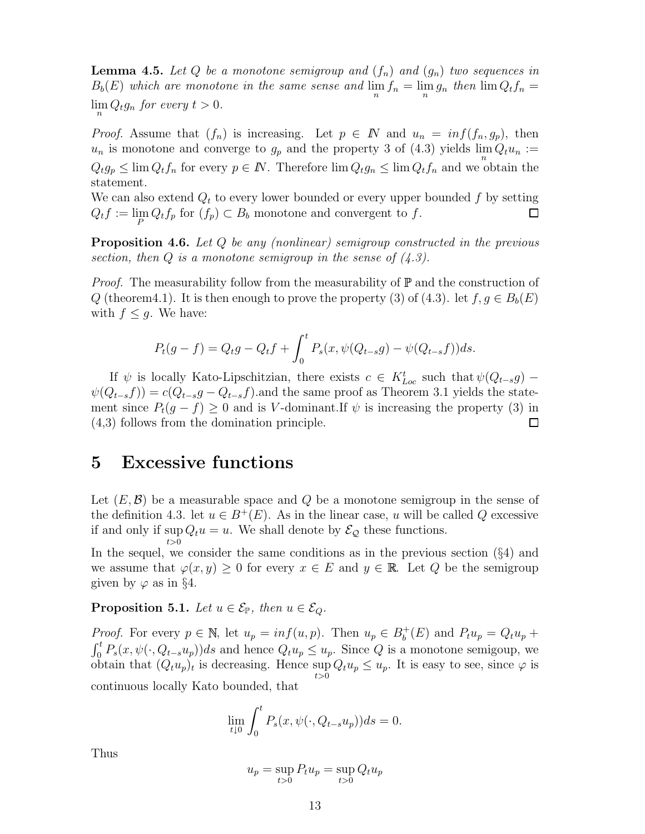**Lemma 4.5.** Let Q be a monotone semigroup and  $(f_n)$  and  $(g_n)$  two sequences in  $B_b(E)$  which are monotone in the same sense and  $\lim_{n} f_n = \lim_{n} g_n$  then  $\lim_{n} Q_t f_n =$  $\lim_{n} Q_{t}g_{n}$  for every  $t > 0$ .

*Proof.* Assume that  $(f_n)$  is increasing. Let  $p \in \mathbb{N}$  and  $u_n = inf(f_n, g_p)$ , then  $u_n$  is monotone and converge to  $g_p$  and the property 3 of (4.3) yields  $\lim_{n} Q_t u_n :=$  $Q_t g_p \leq \lim_{t \to \infty} Q_t f_n$  for every  $p \in \mathbb{N}$ . Therefore  $\lim_{t \to \infty} Q_t g_n \leq \lim_{t \to \infty} Q_t f_n$  and we obtain the statement.

We can also extend  $Q_t$  to every lower bounded or every upper bounded f by setting  $Q_t f := \lim_P Q_t f_p$  for  $(f_p) \subset B_b$  monotone and convergent to f.  $\Box$ 

Proposition 4.6. Let Q be any (nonlinear) semigroup constructed in the previous section, then Q is a monotone semigroup in the sense of  $(4.3)$ .

*Proof.* The measurability follow from the measurability of  $\mathbb P$  and the construction of Q (theorem4.1). It is then enough to prove the property (3) of (4.3). let  $f, g \in B_b(E)$ with  $f \leq g$ . We have:

$$
P_t(g - f) = Q_t g - Q_t f + \int_0^t P_s(x, \psi(Q_{t-s}g) - \psi(Q_{t-s}f)) ds.
$$

If  $\psi$  is locally Kato-Lipschitzian, there exists  $c \in K_{Loc}^t$  such that  $\psi(Q_{t-s}g)$  –  $\psi(Q_{t-s}f) = c(Q_{t-s}g - Q_{t-s}f)$  and the same proof as Theorem 3.1 yields the statement since  $P_t(g - f) \geq 0$  and is V-dominant. If  $\psi$  is increasing the property (3) in (4,3) follows from the domination principle.  $\Box$ 

#### 5 Excessive functions

Let  $(E, \mathcal{B})$  be a measurable space and Q be a monotone semigroup in the sense of the definition 4.3. let  $u \in B^+(E)$ . As in the linear case, u will be called Q excessive if and only if sup  $\sup_{t>0} Q_t u = u$ . We shall denote by  $\mathcal{E}_{\mathcal{Q}}$  these functions.

In the sequel, we consider the same conditions as in the previous section  $(\S 4)$  and we assume that  $\varphi(x, y) \geq 0$  for every  $x \in E$  and  $y \in \mathbb{R}$ . Let Q be the semigroup given by  $\varphi$  as in §4.

**Proposition 5.1.** Let  $u \in \mathcal{E}_{\mathbb{P}}$ , then  $u \in \mathcal{E}_{Q}$ .

*Proof.* For every  $p \in \mathbb{N}$ , let  $u_p = inf(u, p)$ . Then  $u_p \in B_b^+$  $b_t^+(E)$  and  $P_t u_p = Q_t u_p +$  $\int_0^t P_s(x, \psi(\cdot, Q_{t-s}u_p))ds$  and hence  $Q_t u_p \leq u_p$ . Since Q is a monotone semigoup, we obtain that  $(Q_t u_p)_t$  is decreasing. Hence  $\sup Q_t u_p \leq u_p$ . It is easy to see, since  $\varphi$  is  $t>0$ continuous locally Kato bounded, that

$$
\lim_{t \downarrow 0} \int_0^t P_s(x, \psi(\cdot, Q_{t-s}u_p)) ds = 0.
$$

Thus

$$
u_p = \sup_{t>0} P_t u_p = \sup_{t>0} Q_t u_p
$$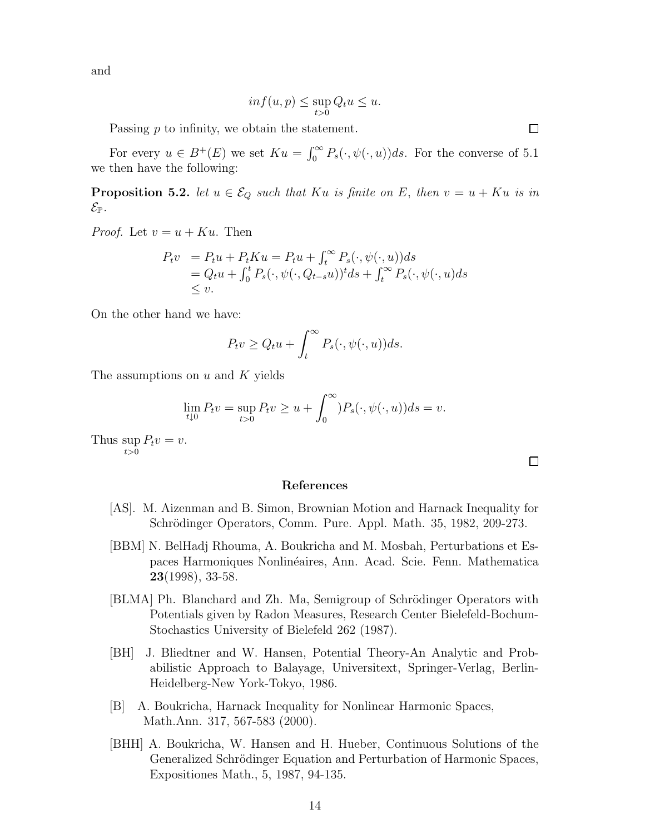and

$$
inf(u, p) \le \sup_{t>0} Q_t u \le u.
$$

Passing p to infinity, we obtain the statement.

For every  $u \in B^+(E)$  we set  $Ku = \int_0^\infty P_s(\cdot, \psi(\cdot, u))ds$ . For the converse of 5.1 we then have the following:

**Proposition 5.2.** let  $u \in \mathcal{E}_Q$  such that Ku is finite on E, then  $v = u + Ku$  is in  $\mathcal{E}_{\mathbb{P}}.$ 

*Proof.* Let  $v = u + Ku$ . Then

$$
P_t v = P_t u + P_t K u = P_t u + \int_t^{\infty} P_s(\cdot, \psi(\cdot, u)) ds
$$
  
=  $Q_t u + \int_0^t P_s(\cdot, \psi(\cdot, Q_{t-s}u))^t ds + \int_t^{\infty} P_s(\cdot, \psi(\cdot, u) ds)$   
 $\leq v.$ 

On the other hand we have:

$$
P_t v \ge Q_t u + \int_t^\infty P_s(\cdot, \psi(\cdot, u)) ds.
$$

The assumptions on  $u$  and  $K$  yields

$$
\lim_{t\downarrow 0} P_t v = \sup_{t>0} P_t v \ge u + \int_0^\infty P_s(\cdot, \psi(\cdot, u)) ds = v.
$$

Thus sup  $\sup_{t>0} P_t v = v.$ 

#### References

- [AS]. M. Aizenman and B. Simon, Brownian Motion and Harnack Inequality for Schrödinger Operators, Comm. Pure. Appl. Math. 35, 1982, 209-273.
- [BBM] N. BelHadj Rhouma, A. Boukricha and M. Mosbah, Perturbations et Espaces Harmoniques Nonlinéaires, Ann. Acad. Scie. Fenn. Mathematica  $23(1998), 33-58.$
- [BLMA] Ph. Blanchard and Zh. Ma, Semigroup of Schrödinger Operators with Potentials given by Radon Measures, Research Center Bielefeld-Bochum-Stochastics University of Bielefeld 262 (1987).
- [BH] J. Bliedtner and W. Hansen, Potential Theory-An Analytic and Probabilistic Approach to Balayage, Universitext, Springer-Verlag, Berlin-Heidelberg-New York-Tokyo, 1986.
- [B] A. Boukricha, Harnack Inequality for Nonlinear Harmonic Spaces, Math.Ann. 317, 567-583 (2000).
- [BHH] A. Boukricha, W. Hansen and H. Hueber, Continuous Solutions of the Generalized Schrödinger Equation and Perturbation of Harmonic Spaces, Expositiones Math., 5, 1987, 94-135.

 $\Box$ 

 $\Box$